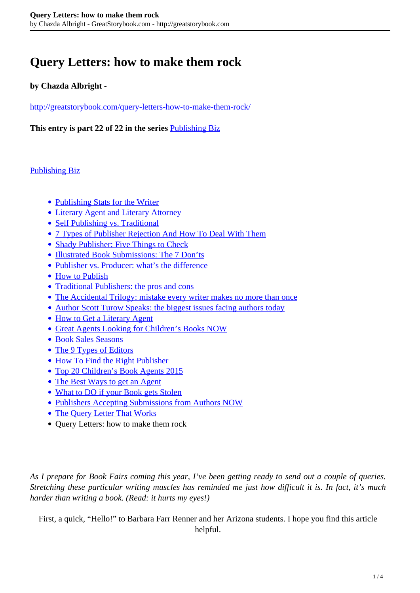# **Query Letters: how to make them rock**

## **by Chazda Albright -**

<http://greatstorybook.com/query-letters-how-to-make-them-rock/>

**This entry is part 22 of 22 in the series** [Publishing Biz](http://greatstorybook.com/series/publishing-biz/)

### [Publishing Biz](http://greatstorybook.com/series/publishing-biz/)

- [Publishing Stats for the Writer](http://greatstorybook.com/publishing-stats-for-the-writer/)
- [Literary Agent and Literary Attorney](http://greatstorybook.com/literary-agent-and-literary-attorney/)
- [Self Publishing vs. Traditional](http://greatstorybook.com/self-publishing-vs-traditional/)
- [7 Types of Publisher Rejection And How To Deal With Them](http://greatstorybook.com/7-types-of-publisher-rejection-and-how-to-deal-with-them/)
- [Shady Publisher: Five Things to Check](http://greatstorybook.com/shady-publisher/)
- [Illustrated Book Submissions: The 7 Don'ts](http://greatstorybook.com/illustrated-books-the-7-donts/)
- [Publisher vs. Producer: what's the difference](http://greatstorybook.com/publisher-vs-producer/)
- [How to Publish](http://greatstorybook.com/how-to-self-publish/)
- [Traditional Publishers: the pros and cons](http://greatstorybook.com/traditional-publisher-pros-cons/)
- [The Accidental Trilogy: mistake every writer makes no more than once](http://greatstorybook.com/the-accidental-trilogy/)
- [Author Scott Turow Speaks: the biggest issues facing authors today](http://greatstorybook.com/scott-turow-speaks-biggest-issues-facing-authors-today/)
- [How to Get a Literary Agent](http://greatstorybook.com/how-to-get-a-literary-agent/)
- [Great Agents Looking for Children's Books NOW](http://greatstorybook.com/agents-looking-for-childrens-books/)
- [Book Sales Seasons](http://greatstorybook.com/book-sales-seasons/)
- [The 9 Types of Editors](http://greatstorybook.com/the-9-types-of-editors/)
- [How To Find the Right Publisher](http://greatstorybook.com/how-to-find-the-right-publisher/)
- [Top 20 Children's Book Agents 2015](http://greatstorybook.com/top-20-childrens-book-agents-2015/)
- [The Best Ways to get an Agent](http://greatstorybook.com/the-best-ways-to-get-an-agent/)
- [What to DO if your Book gets Stolen](http://greatstorybook.com/book-gets-stolen/)
- [Publishers Accepting Submissions from Authors NOW](http://greatstorybook.com/publishers-accepting-submissions-from-authors-now/)
- [The Query Letter That Works](http://greatstorybook.com/the-query-letter-that-works/)
- Query Letters: how to make them rock

*As I prepare for Book Fairs coming this year, I've been getting ready to send out a couple of queries. Stretching these particular writing muscles has reminded me just how difficult it is. In fact, it's much harder than writing a book. (Read: it hurts my eyes!)*

First, a quick, "Hello!" to Barbara Farr Renner and her Arizona students. I hope you find this article helpful.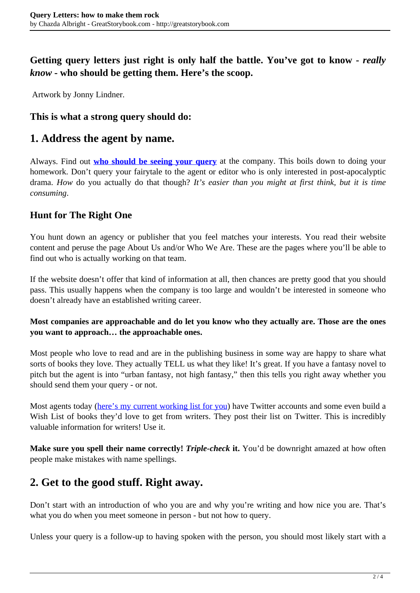## **Getting query letters just right is only half the battle. You've got to know -** *really know* **- who should be getting them. Here's the scoop.**

Artwork by Jonny Lindner.

## **This is what a strong query should do:**

## **1. Address the agent by name.**

Always. Find out **[who should be seeing your query](http://greatstorybook.com/find-the-right-agent-for-you-tips-resources/)** at the company. This boils down to doing your homework. Don't query your fairytale to the agent or editor who is only interested in post-apocalyptic drama. *How* do you actually do that though? *It's easier than you might at first think, but it is time consuming*.

## **Hunt for The Right One**

You hunt down an agency or publisher that you feel matches your interests. You read their website content and peruse the page About Us and/or Who We Are. These are the pages where you'll be able to find out who is actually working on that team.

If the website doesn't offer that kind of information at all, then chances are pretty good that you should pass. This usually happens when the company is too large and wouldn't be interested in someone who doesn't already have an established writing career.

#### **Most companies are approachable and do let you know who they actually are. Those are the ones you want to approach… the approachable ones.**

Most people who love to read and are in the publishing business in some way are happy to share what sorts of books they love. They actually TELL us what they like! It's great. If you have a fantasy novel to pitch but the agent is into "urban fantasy, not high fantasy," then this tells you right away whether you should send them your query - or not.

Most agents today [\(here's my current working list for you](http://greatstorybook.com/agents-looking-for-childrens-books/)) have Twitter accounts and some even build a Wish List of books they'd love to get from writers. They post their list on Twitter. This is incredibly valuable information for writers! Use it.

**Make sure you spell their name correctly!** *Triple-check* **it.** You'd be downright amazed at how often people make mistakes with name spellings.

# **2. Get to the good stuff. Right away.**

Don't start with an introduction of who you are and why you're writing and how nice you are. That's what you do when you meet someone in person - but not how to query.

Unless your query is a follow-up to having spoken with the person, you should most likely start with a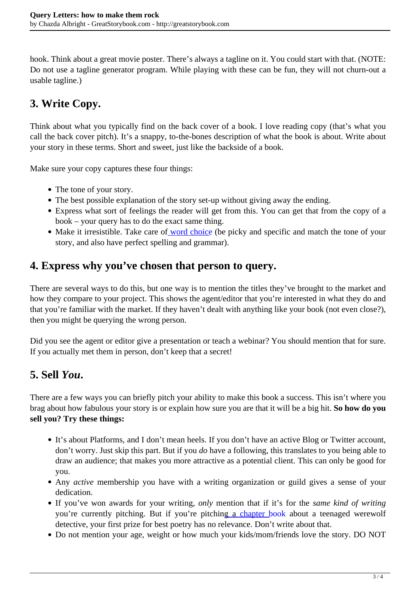hook. Think about a great movie poster. There's always a tagline on it. You could start with that. (NOTE: Do not use a tagline generator program. While playing with these can be fun, they will not churn-out a usable tagline.)

# **3. Write Copy.**

Think about what you typically find on the back cover of a book. I love reading copy (that's what you call the back cover pitch). It's a snappy, to-the-bones description of what the book is about. Write about your story in these terms. Short and sweet, just like the backside of a book.

Make sure your copy captures these four things:

- The tone of your story.
- The best possible explanation of the story set-up without giving away the ending.
- Express what sort of feelings the reader will get from this. You can get that from the copy of a book – your query has to do the exact same thing.
- Make it irresistible. Take care of [word choice](http://greatstorybook.com/watch-your-language/) (be picky and specific and match the tone of your story, and also have perfect spelling and grammar).

## **4. Express why you've chosen that person to query.**

There are several ways to do this, but one way is to mention the titles they've brought to the market and how they compare to your project. This shows the agent/editor that you're interested in what they do and that you're familiar with the market. If they haven't dealt with anything like your book (not even close?), then you might be querying the wrong person.

Did you see the agent or editor give a presentation or teach a webinar? You should mention that for sure. If you actually met them in person, don't keep that a secret!

# **5. Sell** *You***.**

There are a few ways you can briefly pitch your ability to make this book a success. This isn't where you brag about how fabulous your story is or explain how sure you are that it will be a big hit. **So how do you sell you? Try these things:**

- It's about Platforms, and I don't mean heels. If you don't have an active Blog or Twitter account, don't worry. Just skip this part. But if you *do* have a following, this translates to you being able to draw an audience; that makes you more attractive as a potential client. This can only be good for you.
- Any *active* membership you have with a writing organization or guild gives a sense of your dedication.
- If you've won awards for your writing, *only* mention that if it's for the *same kind of writing* you're currently pitching. But if you're pitching a [chapter book](http://greatstorybook.com/how-to-write-a-chapter-book/) about a teenaged werewolf detective, your first prize for best poetry has no relevance. Don't write about that.
- Do not mention your age, weight or how much your kids/mom/friends love the story. DO NOT